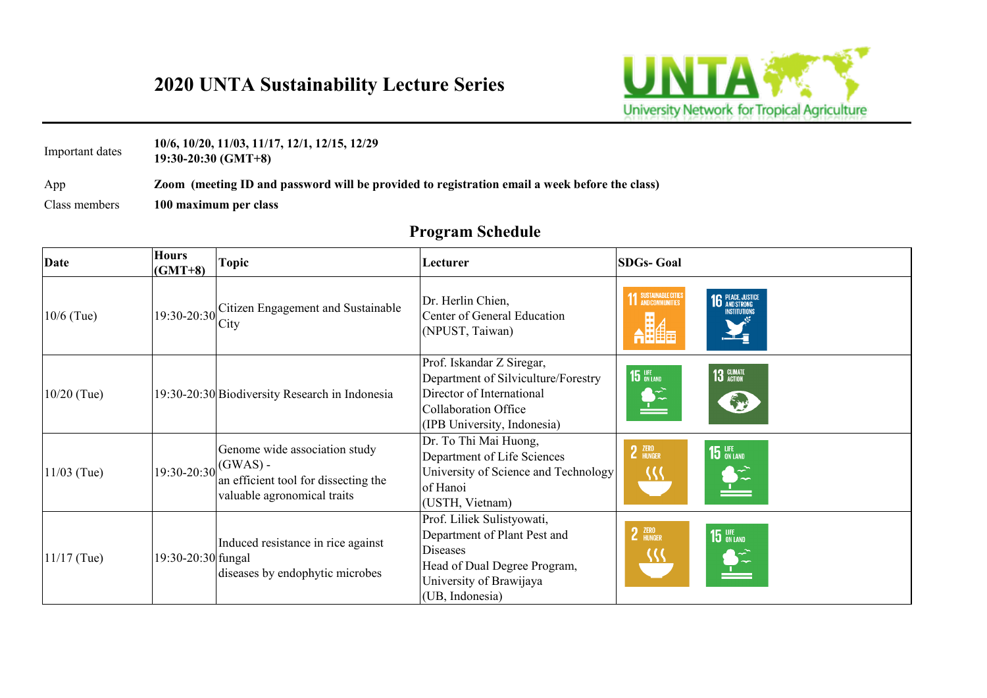App **Zoom (meeting ID and password will be provided to registration email a week before the class)** 

Class members **100 maximum per class**

Important dates **10/6, 10/20, 11/03, 11/17, 12/1, 12/15, 12/29 19:30-20:30 (GMT+8)**

| <b>Date</b>   | <b>Hours</b><br>$(GMT+8)$                    | <b>Topic</b>                                                                                         | Lecturer                                                                                                                                                    | <b>SDGs-Goal</b>                                       |
|---------------|----------------------------------------------|------------------------------------------------------------------------------------------------------|-------------------------------------------------------------------------------------------------------------------------------------------------------------|--------------------------------------------------------|
| $10/6$ (Tue)  | $(19:30-20:30)$ <sup>------</sup> City       | Citizen Engagement and Sustainable                                                                   | Dr. Herlin Chien,<br>Center of General Education<br>(NPUST, Taiwan)                                                                                         | SUSTAINABLE CITIES<br><b>16</b> PEACE, JU<br>Instituti |
| $10/20$ (Tue) |                                              | 19:30-20:30 Biodiversity Research in Indonesia                                                       | Prof. Iskandar Z Siregar,<br>Department of Silviculture/Forestry<br>Director of International<br>Collaboration Office<br>(IPB University, Indonesia)        | 13 GLIMATE<br><b>15</b> UFE<br>不                       |
| $11/03$ (Tue) | $\left 19:30\textrm{-}20:30\right $ (GWAS) - | Genome wide association study<br>an efficient tool for dissecting the<br>valuable agronomical traits | Dr. To Thi Mai Huong,<br>Department of Life Sciences<br>University of Science and Technology<br>of Hanoi<br>(USTH, Vietnam)                                 | 2 ZERO<br><b>15 LIFE</b> ON LAND<br>{{{                |
| $11/17$ (Tue) | 19:30-20:30 fungal                           | Induced resistance in rice against<br>diseases by endophytic microbes                                | Prof. Liliek Sulistyowati,<br>Department of Plant Pest and<br><b>Diseases</b><br>Head of Dual Degree Program,<br>University of Brawijaya<br>(UB, Indonesia) | 2 ZERO<br><b>15 LIFE</b> ON LAND<br>$\sum_{i=1}^{n}$   |



## **2020 UNTA Sustainability Lecture Series**



| <b>Program Schedule</b> |  |
|-------------------------|--|
|-------------------------|--|